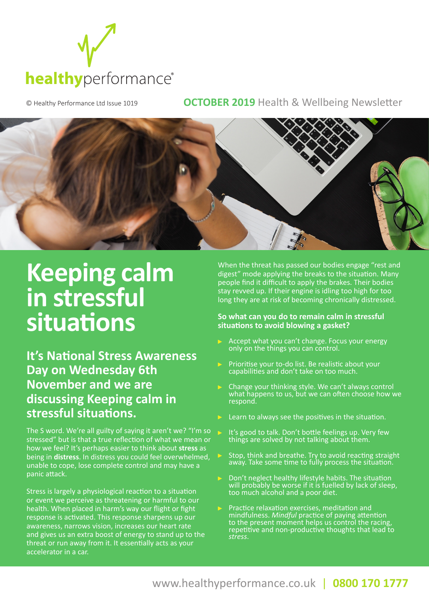

## © Healthy Performance Ltd Issue 1019 **OCTOBER 2019** Health & Wellbeing Newsletter



## **Keeping calm in stressful situations**

**It's National Stress Awareness Day on Wednesday 6th November and we are discussing Keeping calm in stressful situations.** 

The S word. We're all guilty of saying it aren't we? "I'm so stressed" but is that a true reflection of what we mean or how we feel? It's perhaps easier to think about **stress** as being in **distress**. In distress you could feel overwhelmed, unable to cope, lose complete control and may have a panic attack.

Stress is largely a physiological reaction to a situation or event we perceive as threatening or harmful to our health. When placed in harm's way our flight or fight response is activated. This response sharpens up our awareness, narrows vision, increases our heart rate and gives us an extra boost of energy to stand up to the threat or run away from it. It essentially acts as your accelerator in a car.

When the threat has passed our bodies engage "rest and digest" mode applying the breaks to the situation. Many people find it difficult to apply the brakes. Their bodies stay revved up. If their engine is idling too high for too long they are at risk of becoming chronically distressed.

#### **So what can you do to remain calm in stressful situations to avoid blowing a gasket?**

- Accept what you can't change. Focus your energy only on the things you can control.
- Prioritise your to-do list. Be realistic about your capabilities and don't take on too much.
- Change your thinking style. We can't always control what happens to us, but we can often choose how we respond.
- Learn to always see the positives in the situation.
- It's good to talk. Don't bottle feelings up. Very few things are solved by not talking about them.
- Stop, think and breathe. Try to avoid reacting straight away. Take some time to fully process the situation.
- Don't neglect healthy lifestyle habits. The situation will probably be worse if it is fuelled by lack of sleep, too much alcohol and a poor diet.
- Practice relaxation exercises, meditation and mindfulness. *Mindful* practice of paying attention to the present moment helps us control the racing, repetitive and non-productive thoughts that lead to *stress*.